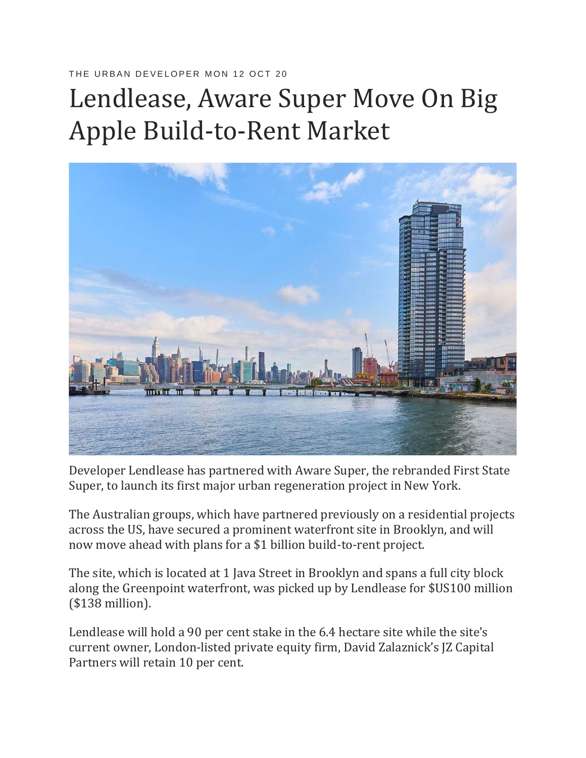## THE URBAN DEVELOPER MON 12 OCT 20

## Lendlease, Aware Super Move On Big Apple Build-to-Rent Market



Developer Lendlease has partnered with Aware Super, the rebranded First State Super, to launch its first major urban regeneration project in New York.

The Australian groups, which have partnered previously on a residential projects across the US, have secured a prominent waterfront site in Brooklyn, and will now move ahead with plans for a \$1 billion build-to-rent project.

The site, which is located at 1 Java Street in Brooklyn and spans a full city block along the Greenpoint waterfront, was picked up by Lendlease for \$US100 million (\$138 million).

Lendlease will hold a 90 per cent stake in the 6.4 hectare site while the site's current owner, London-listed private equity firm, David Zalaznick's JZ Capital Partners will retain 10 per cent.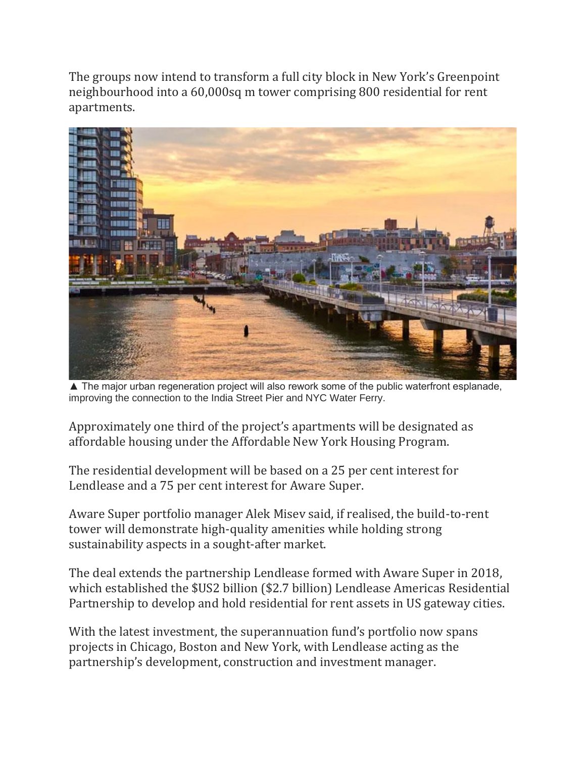The groups now intend to transform a full city block in New York's Greenpoint neighbourhood into a 60,000sq m tower comprising 800 residential for rent apartments.



▲ The major urban regeneration project will also rework some of the public waterfront esplanade, improving the connection to the India Street Pier and NYC Water Ferry.

Approximately one third of the project's apartments will be designated as affordable housing under the Affordable New York Housing Program.

The residential development will be based on a 25 per cent interest for Lendlease and a 75 per cent interest for Aware Super.

Aware Super portfolio manager Alek Misev said, if realised, the build-to-rent tower will demonstrate high-quality amenities while holding strong sustainability aspects in a sought-after market.

The deal extends the partnership Lendlease formed with Aware Super in 2018, which established the \$US2 billion (\$2.7 billion) Lendlease Americas Residential Partnership to develop and hold residential for rent assets in US gateway cities.

With the latest investment, the superannuation fund's portfolio now spans projects in Chicago, Boston and New York, with Lendlease acting as the partnership's development, construction and investment manager.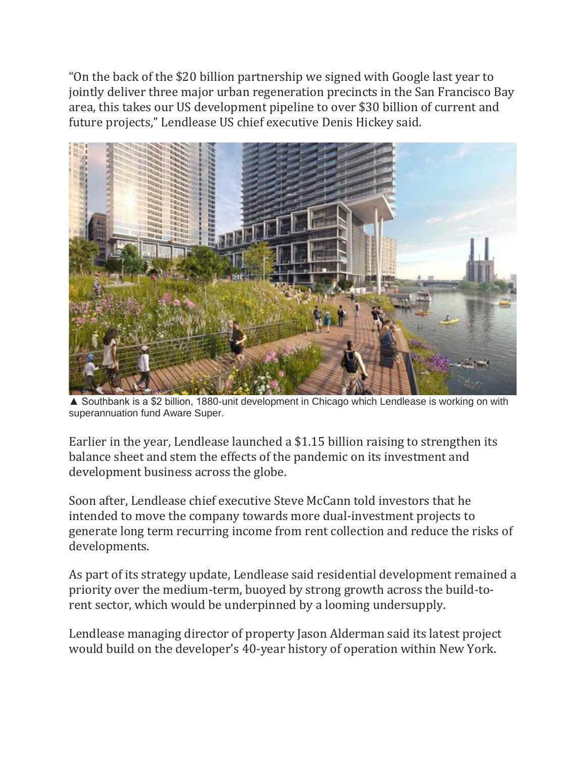"On the back of the \$20 billion partnership we signed with Google last year to jointly deliver three major urban regeneration precincts in the San Francisco Bay area, this takes our US development pipeline to over \$30 billion of current and future projects," Lendlease US chief executive Denis Hickey said.



▲ Southbank is a \$2 billion, 1880-unit development in Chicago which Lendlease is working on with superannuation fund Aware Super.

Earlier in the year, Lendlease launched a \$1.15 billion raising to strengthen its balance sheet and stem the effects of the pandemic on its investment and development business across the globe.

Soon after, Lendlease chief executive Steve McCann told investors that he intended to move the company towards more dual-investment projects to generate long term recurring income from rent collection and reduce the risks of developments.

As part of its strategy update, Lendlease said residential development remained a priority over the medium-term, buoyed by strong growth across the build-torent sector, which would be underpinned by a looming undersupply.

Lendlease managing director of property Jason Alderman said its latest project would build on the developer's 40-year history of operation within New York.